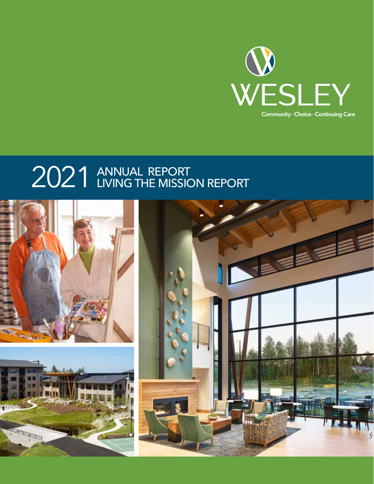

# 2021 ANNUAL REPORT

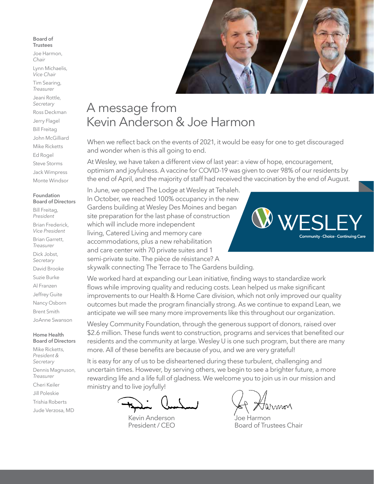#### **Board of Trustees**

Joe Harmon, *Chair*

Lynn Michaelis, *Vice Chair*

Tim Searing, *Treasurer*

Jeani Rottle, *Secretary*

Ross Deckman Jerry Flagel Bill Freitag John McGilliard Mike Ricketts Ed Rogel Steve Storms Jack Wimpress Monte Windsor

#### **Foundation Board of Directors**

Bill Freitag, *President* Brian Frederick, *Vice President* Brian Garrett, *Treasurer* Dick Jobst, *Secretary* David Brooke Suzie Burke Al Franzen Jeffrey Guite Nancy Osborn Brent Smith JoAnne Swanson

#### **Home Health Board of Directors**

Mike Ricketts, *President & Secretary* Dennis Magnuson, *Treasurer* Cheri Keiler Jill Poleskie Trishia Roberts Jude Verzosa, MD



## A message from Kevin Anderson & Joe Harmon

When we reflect back on the events of 2021, it would be easy for one to get discouraged and wonder when is this all going to end.

At Wesley, we have taken a different view of last year: a view of hope, encouragement, optimism and joyfulness. A vaccine for COVID-19 was given to over 98% of our residents by the end of April, and the majority of staff had received the vaccination by the end of August.

In June, we opened The Lodge at Wesley at Tehaleh. In October, we reached 100% occupancy in the new Gardens building at Wesley Des Moines and began site preparation for the last phase of construction which will include more independent living, Catered Living and memory care accommodations, plus a new rehabilitation and care center with 70 private suites and 1 semi-private suite. The pièce de résistance? A skywalk connecting The Terrace to The Gardens building.

We worked hard at expanding our Lean initiative, finding ways to standardize work flows while improving quality and reducing costs. Lean helped us make significant improvements to our Health & Home Care division, which not only improved our quality outcomes but made the program financially strong. As we continue to expand Lean, we anticipate we will see many more improvements like this throughout our organization.

Wesley Community Foundation, through the generous support of donors, raised over \$2.6 million. These funds went to construction, programs and services that benefited our residents and the community at large. Wesley U is one such program, but there are many more. All of these benefits are because of you, and we are very grateful!

It is easy for any of us to be disheartened during these turbulent, challenging and uncertain times. However, by serving others, we begin to see a brighter future, a more rewarding life and a life full of gladness. We welcome you to join us in our mission and ministry and to live joyfully!

Kevin Anderson President / CEO

Winnor

Joe Harmon Board of Trustees Chair

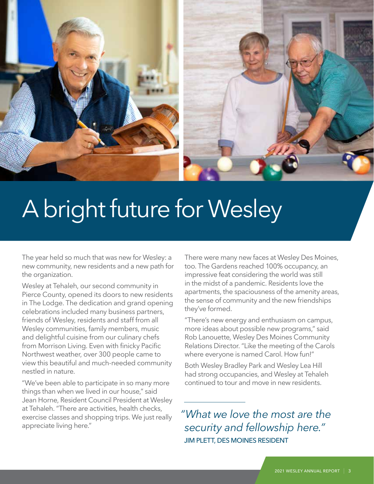

# A bright future for Wesley

The year held so much that was new for Wesley: a new community, new residents and a new path for the organization.

Wesley at Tehaleh, our second community in Pierce County, opened its doors to new residents in The Lodge. The dedication and grand opening celebrations included many business partners, friends of Wesley, residents and staff from all Wesley communities, family members, music and delightful cuisine from our culinary chefs from Morrison Living. Even with finicky Pacific Northwest weather, over 300 people came to view this beautiful and much-needed community nestled in nature.

"We've been able to participate in so many more things than when we lived in our house," said Jean Horne, Resident Council President at Wesley at Tehaleh. "There are activities, health checks, exercise classes and shopping trips. We just really appreciate living here."

There were many new faces at Wesley Des Moines, too. The Gardens reached 100% occupancy, an impressive feat considering the world was still in the midst of a pandemic. Residents love the apartments, the spaciousness of the amenity areas, the sense of community and the new friendships they've formed.

"There's new energy and enthusiasm on campus, more ideas about possible new programs," said Rob Lanouette, Wesley Des Moines Community Relations Director. "Like the meeting of the Carols where everyone is named Carol. How fun!"

Both Wesley Bradley Park and Wesley Lea Hill had strong occupancies, and Wesley at Tehaleh continued to tour and move in new residents.

*"What we love the most are the security and fellowship here."*  JIM PLETT, DES MOINES RESIDENT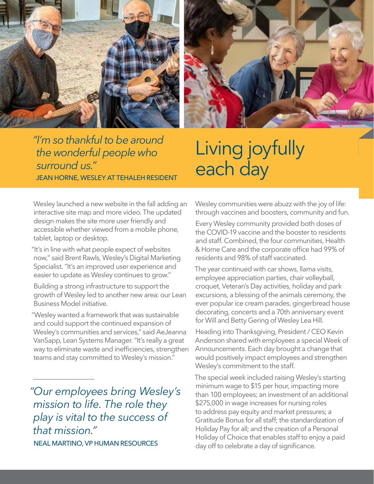



*"I'm so thankful to be around the wonderful people who surround us."* JEAN HORNE, WESLEY AT TEHALEH RESIDENT

## Living joyfully each day

Wesley launched a new website in the fall adding an interactive site map and more video. The updated design makes the site more user friendly and accessible whether viewed from a mobile phone, tablet, laptop or desktop.

"It's in line with what people expect of websites now," said Brent Rawls, Wesley's Digital Marketing Specialist. "It's an improved user experience and easier to update as Wesley continues to grow."

Building a strong infrastructure to support the growth of Wesley led to another new area: our Lean Business Model initiative.

"Wesley wanted a framework that was sustainable and could support the continued expansion of Wesley's communities and services," said AeJeanna VanSapp, Lean Systems Manager. "It's really a great way to eliminate waste and inefficiencies, strengthen teams and stay committed to Wesley's mission."

*"Our employees bring Wesley's mission to life. The role they play is vital to the success of that mission."* NEAL MARTINO, VP HUMAN RESOURCES

Wesley communities were abuzz with the joy of life: through vaccines and boosters, community and fun.

Every Wesley community provided both doses of the COVID-19 vaccine and the booster to residents and staff. Combined, the four communities, Health & Home Care and the corporate office had 99% of residents and 98% of staff vaccinated.

The year continued with car shows, llama visits, employee appreciation parties, chair volleyball, croquet, Veteran's Day activities, holiday and park excursions, a blessing of the animals ceremony, the ever popular ice cream parades, gingerbread house decorating, concerts and a 70th anniversary event for Will and Betty Gering of Wesley Lea Hill.

Heading into Thanksgiving, President / CEO Kevin Anderson shared with employees a special Week of Announcements. Each day brought a change that would positively impact employees and strengthen Wesley's commitment to the staff.

The special week included raising Wesley's starting minimum wage to \$15 per hour, impacting more than 100 employees; an investment of an additional \$275,000 in wage increases for nursing roles to address pay equity and market pressures; a Gratitude Bonus for all staff; the standardization of Holiday Pay for all; and the creation of a Personal Holiday of Choice that enables staff to enjoy a paid day off to celebrate a day of significance.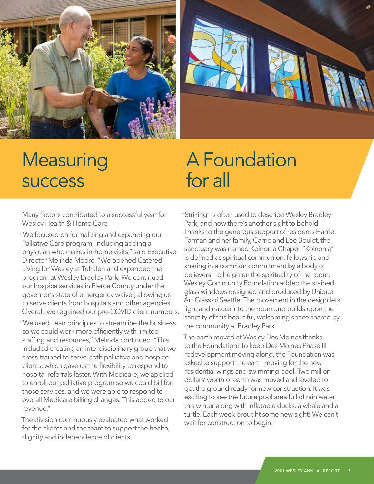



## **Measuring** success

## A Foundation for all

Many factors contributed to a successful year for Wesley Health & Home Care.

"We focused on formalizing and expanding our Palliative Care program, including adding a physician who makes in-home visits," said Executive Director Melinda Moore. "We opened Catered Living for Wesley at Tehaleh and expanded the program at Wesley Bradley Park. We continued our hospice services in Pierce County under the governor's state of emergency waiver, allowing us to serve clients from hospitals and other agencies. Overall, we regained our pre-COVID client numbers.

"We used Lean principles to streamline the business so we could work more efficiently with limited staffing and resources," Melinda continued. "This included creating an interdisciplinary group that we cross-trained to serve both palliative and hospice clients, which gave us the flexibility to respond to hospital referrals faster. With Medicare, we applied to enroll our palliative program so we could bill for those services, and we were able to respond to overall Medicare billing changes. This added to our revenue."

The division continuously evaluated what worked for the clients and the team to support the health, dignity and independence of clients.

"Striking" is often used to describe Wesley Bradley Park, and now there's another sight to behold. Thanks to the generous support of residents Harriet Farman and her family, Carrie and Lee Boulet, the sanctuary was named Koinonia Chapel. "Koinonia" is defined as spiritual communion, fellowship and sharing in a common commitment by a body of believers. To heighten the spirituality of the room, Wesley Community Foundation added the stained glass windows designed and produced by Unique Art Glass of Seattle. The movement in the design lets light and nature into the room and builds upon the sanctity of this beautiful, welcoming space shared by the community at Bradley Park.

The earth moved at Wesley Des Moines thanks to the Foundation! To keep Des Moines Phase III redevelopment moving along, the Foundation was asked to support the earth moving for the new residential wings and swimming pool. Two million dollars' worth of earth was moved and leveled to get the ground ready for new construction. It was exciting to see the future pool area full of rain water this winter along with inflatable ducks, a whale and a turtle. Each week brought some new sight! We can't wait for construction to begin!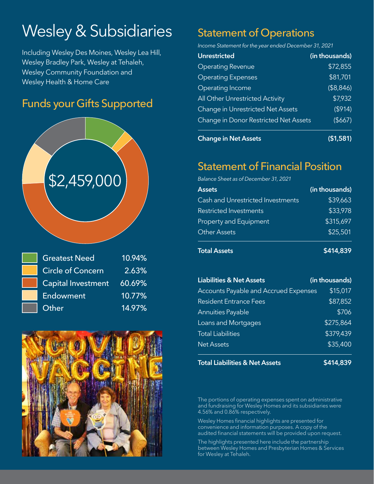## Wesley & Subsidiaries

Including Wesley Des Moines, Wesley Lea Hill, Wesley Bradley Park, Wesley at Tehaleh, Wesley Community Foundation and Wesley Health & Home Care

### Funds your Gifts Supported



| <b>Greatest Need</b>      | 10.94% |
|---------------------------|--------|
| <b>Circle of Concern</b>  | 2.63%  |
| <b>Capital Investment</b> | 60.69% |
| Endowment                 | 10.77% |
| Other                     | 14.97% |



## Statement of Operations

*Income Statement for the year ended December 31, 2021*

| <b>Unrestricted</b>                   | (in thousands) |
|---------------------------------------|----------------|
| <b>Operating Revenue</b>              | \$72,855       |
| <b>Operating Expenses</b>             | \$81,701       |
| Operating Income                      | (\$8,846)      |
| All Other Unrestricted Activity       | \$7,932        |
| Change in Unrestricted Net Assets     | ( \$914)       |
| Change in Donor Restricted Net Assets | (\$667)        |
|                                       |                |

**Change in Net Assets (\$1,581)**

### Statement of Financial Position

*Balance Sheet as of December 31, 2021*

| <b>Assets</b>                            | (in thousands) |
|------------------------------------------|----------------|
| <b>Cash and Unrestricted Investments</b> | \$39,663       |
| <b>Restricted Investments</b>            | \$33,978       |
| <b>Property and Equipment</b>            | \$315,697      |
| <b>Other Assets</b>                      | \$25,501       |
|                                          |                |

**Total Assets \$414,839** 

| <b>Liabilities &amp; Net Assets</b>          | (in thousands) |
|----------------------------------------------|----------------|
| <b>Accounts Payable and Accrued Expenses</b> | \$15,017       |
| <b>Resident Entrance Fees</b>                | \$87,852       |
| <b>Annuities Payable</b>                     | \$706          |
| <b>Loans and Mortgages</b>                   | \$275,864      |
| <b>Total Liabilities</b>                     | \$379,439      |
| <b>Net Assets</b>                            | \$35,400       |
|                                              |                |

**Total Liabilities & Net Assets \$414,839** 

The portions of operating expenses spent on administrative and fundraising for Wesley Homes and its subsidiaries were 4.56% and 0.86% respectively.

Wesley Homes financial highlights are presented for convenience and information purposes. A copy of the audited financial statements will be provided upon request.

The highlights presented here include the partnership between Wesley Homes and Presbyterian Homes & Services for Wesley at Tehaleh.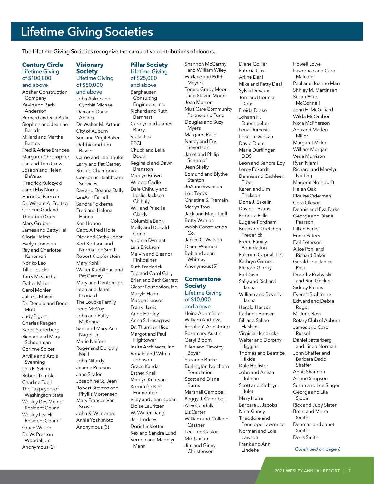## **Lifetime Giving Societies**

The Lifetime Giving Societies recognize the cumulative contributions of donors.

#### **Century Circle** Lifetime Giving of \$100,000 and above

Absher Construction Company Kevin and Barb Anderson Bernard and Rita Bailie Stephen and Jeanine Barndt Millard and Martha Battles Fred & Arlene Brandes Margaret Christopher Jan and Tom Crews Joseph and Helen DeVaux Fredrick Kulczycki Janet Eby Norris Harriet J. Farman Dr. William A. Freitag Corinne Garland Theodore Gary Mary Gruber James and Betty Hall Gloria Helms Evelyn Joneson Ray and Charlotte Kanemori Noriko Lao Tillie Loucks Terry McCarthy Esther Miller Carol Mohler Julia C. Moser Dr. Donald and Beret Mott Judy Pigott Charles Reagen Karen Satterberg Richard and Mary Schoenman Corinne Spicer Arville and Ardis Svenning Lois E. Svinth Robert Trimble Charline Tuell The Taxpayers of Washington State Wesley Des Moines Resident Council Wesley Lea Hill Resident Council Grace Wilson Dr. W. Preston Woodall, Jr. Anonymous (2)

#### **Visionary Society** Lifetime Giving of \$50,000 and above

John Aakre and Cynthia Michael Dan and Daria Absher Dr. Walter M. Arthur City of Auburn Sue and Virgil Baker Debbie and Jim Bevier Carrie and Lee Boulet Larry and Pat Carney Ronald Champoux Consonus Healthcare Services Ray and Deanna Dally LeeAnn Farrell Sandra Fokkema Fred and Helena Hanna Ken Hoben Capt. Alfred Holte Dick and Cathy Jobst Kert Kertson and Norma Lee Smith Robert Klopfenstein Mary Kohli Walter Kuehlthau and Pat Carney Mary and Denton Lee Leon and Janet Leonard The Loucks Family Irene McCoy John and Patty McKenna Sam and Mary Ann Nagel, Jr. Marie Neifert Roger and Dorothy Neill John Nitardy Jeanne Pearson Jane Shafer Josephine St. Jean Robert Stevens and Phyllis Mortensen Mary Frances Van Scoyoc John K. Wimpress Annie Yoshimoto Anonymous (3)

#### **Pillar Society** Lifetime Giving of \$25,000

and above Barghausen **Consulting** Engineers, Inc. Richard and Ruth Barnhart Carolyn and James Barry Viola Bird **BPCI** Chuck and Leila Booth Reginald and Dawn Branston Marilyn Brown Wilbert Cadle Dale Chihuly and Leslie Jackson Chihuly Will and Priscilla Clardy Columbia Bank Molly and Donald Cone Virginia Dyment Lars Erickson Melvin and Eleanor Finkbeiner Ruth Frederick Ted and Carol Gary Brian and Beth Garrett Glaser Foundation, Inc. Maryln Hahn Madge Hanson Frank Harris Anne Hartley Anna S. Hasagawa Dr. Thurman Hice Margot and Paul Hightower Insite Architects, Inc. Ronald and Wilma Johnson Grace Kanda Esther Knell Marilyn Knutson Korum for Kids Foundation Riley and Jean Kuehn Eloise Lauritsen W. Walter Liang Jeri Lindsey Doris Linkletter Rex and Sandra Lund Vernon and Madelyn Mann

Shannon McCarthy and William Wiley Wallace and Edith Meyers Terese Grady Moon and Steven Moon Jean Morton MultiCare Community Partnership Fund Douglas and Suzy Myers Margaret Race Nancy and Erv Severtson Janet and Philip Schempf Jean Skelly Edmund and Blythe Stanton JoAnne Swanson Lois Toevs Christine S. Tremain Marlys Tron Jack and Marji Tuell Betty Wahlen Walsh Construction  $C_{\Omega}$ Janice C. Watson Diane Whipple Bob and Joan Whitney Anonymous (5) **Cornerstone**

#### **Society** Lifetime Giving of \$10,000

and above Heinz Abersfeller William Andrews Rosalie Y. Armstrong Rosemary Austin Caryl Bloom Ellen and Timothy Boyer Suzanne Burke Burlington Northern Foundation Scott and Diane Burns Marshall Campbell Peggy J. Campbell Alex Candalla Liz Carter William and Colleen Castner Lee-Lee Castor Mei Castor Jim and Ginny Christensen

Diane Collier Patricia Cox Arline Dahl Mike and Patty Deal Sylvia DeVaux Tom and Bonnie Doan Freida Drake Johann H. Duenhoelter Lena Dumesic Priscilla Duncan David Dunn Marie Durflinger, DDS Leon and Sandra Eby Leroy Eckardt Dennis and Cathleen Eibe Karen and Jim Erickson Dona J. Eskelin David L. Evans Roberta Fallis Eugene Fordham Brian and Gretchen Frederick Freed Family Foundation Fulcrum Capital, LLC Kathryn Garnett Richard Garrity Earl Gish Sally and Richard Hanna William and Beverly Hanna Harold Hansen Kathrine Hansen Bill and Sallee Haskins Virginia Hendricks Walter and Dorothy **Higgins** Thomas and Beatrice Hikida Dale Hollister John and Arlista Holman Scott and Kathryn Hulet Mary Hulse Barbara J. Jacobs Nina Kinney Theodore and Penelope Lawrence Norman and Lola Lawson Frank and Ann Lindeke

Lawrence and Carol Malcom Paul and Joanne Marr Shirley M. Martinsen Susan Fritts McConnell John H. McGilliard Wilda McOmber Nora McPherson Ann and Marlen Miller Margaret Miller William Morgan Verla Morrison Ryan Niemi Richard and Marylyn Nolting Marjorie Nothdurft Helen Oak Elouise Oderman Cora Oleson Dennis and Eva Parks George and Diane Pearson Lillian Perks Enola Peters Earl Peterson Alice Pohl and Richard Baker Gerald and Janice Post Dorothy Prybylski and Ron Gocken Sidney Raines Everett Rightmire Edward and Debra Rogel M. June Ross Rotary Club of Auburn James and Carol Russell Daniel Satterberg and Linda Norman John Shaffer and Barbara Dadd Shaffer Anne Shannon Arlene Simpson Susan and Lee Singer George and Lila Sjodin Rick and Judy Slater Brent and Mona Smith Denman and Janet Smith Doris Smith

Howell Lowe

*Continued on page 8*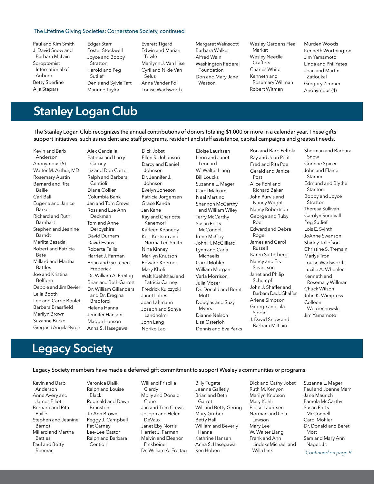#### The Lifetime Giving Societies: Cornerstone Society, continued

Paul and Kim Smith J. David Snow and Barbara McLain Soroptomist International of Auburn Betty Sperline Aija Stapars

Edgar Starr Foster Stockwell Joyce and Bobby Stratton Harold and Peg Sutlief Denis and Sylvia Taft Maurine Taylor

Everett Tigard Edwin and Marian Towle Marilynn J. Van Hise Cyril and Nixie Van Selus Anna Vander Pol Louise Wadsworth

Margaret Wainscott Barbara Walker Alfred Waln Washington Federal Foundation Don and Mary Jane Wasson

Wesley Gardens Flea Market Wesley Needle **Crafters** Charles White Kenneth and Rosemary Willman Robert Witman

Murden Woods Kenneth Worthington Jim Yamamoto Linda and Phil Yates Joan and Martin Zatloukal Gregory Zimmer Anonymous (4)

## **Stanley Logan Club**

The Stanley Logan Club recognizes the annual contributions of donors totaling \$1,000 or more in a calendar year. These gifts support initiatives, such as resident and staff programs, resident and staff assistance, capital campaigns and greatest needs.

Kevin and Barb Anderson Anonymous (5) Walter M. Arthur, MD Rosemary Austin Bernard and Rita Bailie Carl Ball Eugene and Janice Barker Richard and Ruth Barnhart Stephen and Jeanine Barndt Marlita Basada Robert and Patricia Bate Millard and Martha Battles Joe and Kristina Belfiore Debbie and Jim Bevier Leila Booth Lee and Carrie Boulet Barbara Brassfield Marilyn Brown Suzanne Burke Greg and Angela Byrge

Alex Candalla Patricia and Larry **Carney** Liz and Don Carter Ralph and Barbara Centioli Diane Collier Columbia Bank Jan and Tom Crews Ross and Lue Ann Deckman Tom and Anne Derbyshire David Durham David Evans Roberta Fallis Harriet J. Farman Brian and Gretchen Frederick Dr. William A. Freitag Brian and Beth Garrett Dr. William Gillanders and Dr. Eregina Bradford Helena Hanna Jennifer Hanson Madge Hanson Anna S. Hasegawa

Dick Jobst Ellen R. Johanson Darcy and Daniel Johnson Dr. Jennifer J. Johnson Evelyn Joneson Patricia Jorgensen Grace Kanda Jan Kane Ray and Charlotte Kanemori Karleen Kennedy Kert Kertson and Norma Lee Smith Nina Kinney Marilyn Knutson Edward Koerner Mary Kholi Walt Kuehlthau and Patricia Carney Fredrick Kulczycki Janet Labes Jean Lahmann Joseph and Sonya Landholm John Lang Noriko Lao

Eloise Lauritsen Leon and Janet Leonard W. Walter Liang Bill Loucks Suzanne L. Mager Carol Malcom Neal Martino Shannon McCarthy and Wililam Wiley Terry McCarthy Susan Fritts **McConnell** Irene McCoy John H. McGilliard Lynn and Carla Michaelis Carol Mohler William Morgan Verla Morrison Julia Moser Dr. Donald and Beret Mott Douglas and Suzy Myers Dianne Nelson Lisa Osterloh Dennis and Eva Parks

Ron and Barb Peltola Ray and Joan Petit Fred and Rita Poe Gerald and Janice Post Alice Pohl and Richard Baker John Purvis and Nancy Wright Nancy Robertson George and Ruby Roe Edward and Debra Rogel James and Carol Russell Karen Satterberg Nancy and Erv Severtson Janet and Philip Schempf John J. Shaffer and Barbara Dadd Shaffer Arlene Simpson George and Lila Sjodin J. David Snow and Barbara McLain

Sherman and Barbara Snow Corinne Spicer John and Elaine Stamm Edmund and Blythe Stanton Bobby and Joyce Stratton Theresa Sullivan Carolyn Sundvall Peg Sutlief Lois E. Svinth JoAnne Swanson Shirley Tollefson Christine S. Tremain Marlys Tron Louise Wadsworth Lucille A. Wheeler Kenneth and Rosemary Willman Chuck Wilson John K. Wimpress Colleen Wojciechowski Jim Yamamoto

### **Legacy Society**

#### Legacy Society members have made a deferred gift commitment to support Wesley's communities or programs.

Kevin and Barb Anderson Anne Avery and James Elliott Bernard and Rita Bailie Stephen and Jeanine Barndt Millard and Martha Battles Paul and Betty Beeman

Veronica Bialik Ralph and Louise Black Reginald and Dawn Branston Jo Ann Brown Peggy J. Campbell Pat Carney Lee-Lee Castor Ralph and Barbara Centioli

Will and Priscilla Clardy Molly and Donald Cone Jan and Tom Crews Joseph and Helen DeVaux Janet Eby Norris Harriet J. Farman Melvin and Eleanor Finkbeiner Dr. William A. Freitag Billy Fugate Jeanne Galletly Brian and Beth Garrett Will and Betty Gering Mary Gruber Betty Hall William and Beverly Hanna Kathrine Hansen Anna S. Hasegawa Ken Hoben

Dick and Cathy Jobst Ruth M. Kenyon Marilyn Knutson Mary Kohli Eloise Lauritsen Norman and Lola Lawson Mary Lee W. Walter Liang Frank and Ann LindekeMichael and Willa Link

Suzanne L. Mager Paul and Joanne Marr Jane Maurich Pamela McCarthy Susan Fritts **McConnell** Carol Mohler Dr. Donald and Beret Mott Sam and Mary Ann Nagel, Jr. *Continued on page 9*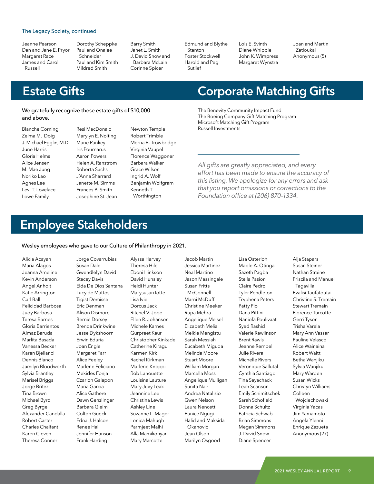#### The Legacy Society, continued

- Jeanne Pearson Dan and Jane E. Pryor Margaret Race James and Carol Russell
- Dorothy Scheppke Paul and Onalee Schneider Paul and Kim Smith Mildred Smith

Barry Smith Janet L. Smith J. David Snow and Barbara McLain Corinne Spicer

Edmund and Blythe Stanton Foster Stockwell Harold and Peg Sutlief

Lois E. Svinth Diane Whipple John K. Wimpress Margaret Wynstra

Joan and Martin Zatloukal Anonymous (5)

### **Estate Gifts**

#### We gratefully recognize these estate gifts of \$10,000 and above.

Resi MacDonald

Blanche Corning Zelma M. Doig J. Michael Egglin, M.D. June Harris Gloria Helms Alice Jensen M. Mae Jung Noriko Lao Agnes Lee Levi T. Lovelace Lowe Family

Marylyn E. Nolting Marie Pankey Iris Pournarus Aaron Powers Helen A. Ranstrom Roberta Sachs J'Anna Sharrard Janette M. Simms Frances B. Smith Josephine St. Jean Newton Temple Robert Trimble Merna B. Trowbridge Virginia Vaupel Florence Waggoner Barbara Walker Grace Wilson Ingrid A. Wolf Benjamin Wolfgram Kenneth T. Worthington

### **Corporate Matching Gifts**

The Benevity Community Impact Fund The Boeing Company Gift Matching Program Microsoft Matching Gift Program Russell Investments

*All gifts are greatly appreciated, and every effort has been made to ensure the accuracy of this listing. We apologize for any errors and ask that you report omissions or corrections to the Foundation office at (206) 870-1334.*

## **Employee Stakeholders**

Wesley employees who gave to our Culture of Philanthropy in 2021.

Alicia Acayan Maria Alagos Jeanna Ameline Kevin Anderson Angel Anholt Katie Arrington Carl Ball Felicidad Barbosa Judy Barbosa Teresa Barnes Gloria Barrientos Almaz Baruda Marlita Basada Vanessa Becker Karen Bjelland Dennis Blanco Jamilyn Bloodworth Sylvia Brantley Marisel Briggs Jorge Britez Tina Brown Michael Byrd Greg Byrge Alexander Candalla Robert Carter Charles Chalfant Karen Cleven Theresa Conner

Jorge Covarrubias Susan Dale Gwendlelyn David Stacey Davis Elda De Dios Santana Lucy de Mattos Tigist Demisse Eric Denman Alison Dismore Bernie Dorsey Brenda Drinkwine Jesse Dykshoorn Erwin Eduria Joan Engle Margaret Farr Alice Feeley Marlene Feliciano Mekides Fonja Czarlon Galapon Maria Garcia Alice Gathere Dawn Genzlinger Barbara Gleim Colton Gueck Edna J. Halcon Renee Hall Jennifer Hanson Frank Harding

Alyssa Harvey Theresa Hile Eboni Hinkson David Hunsley Heidi Hunter Marysusan Iotte Lisa Ivie Dorcus Jack Ritchel V. Jobe Ellen R. Johanson Michele Karnes Gurpreet Kaur Christopher Kinkade Catherine Kiragu Karmen Kirk Rachel Kirkman Marlene Knoppi Rob Lanouette Louisina Lauture Mary Juvy Leak Jeannine Lee Christina Lewis Ashley Line Suzanne L. Mager Lonica Mahugh Parmjeet Malhi Alla Mamikonyan Mary Marcotte

Jessica Martinez Neal Martino Jason Massingale Susan Fritts **McConnell** Marni McDuff Christine Meeker Rupa Mehra Angelique Meisel Elizabeth Melia Melkie Mengistu Sarah Messiah Eucabeth Miguda Melinda Moore Stuart Moore William Morgan Marcella Moss Angelique Mulligan Sunita Nair Andrea Natalizio Gwen Nelson Laura Nencetti Eunice Ngugi Halid and Maksida Okanovic Jean Olson Marilyn Osgood

Jacob Martin

Lisa Osterloh Mable A. Otinga Sazeth Pagba Stella Pasion Claire Pedro Tyler Pendleton Tryphena Peters Patty Pio Dana Pittini Naniofa Poulivaati Syed Rashid Valerie Rawlinson Brent Rawls Jeanne Rempel Julie Rivera Michelle Rivers Veronique Sallutal Cynthia Santiago Tina Sayachack Leah Scanson Emily Schimitschek Sarah Schofield Donna Schultz Patricia Schwab Brian Simmons Megan Simmons J. David Snow Diane Spencer

Aija Stapars Susan Steiner Nathan Straine Priscila and Manuel Tagavilla Evalisi Taufatoutai Christine S. Tremain Stewart Tremain Florence Turcotte Gerri Tyson Trisha Varela Mary Ann Vassar Pauline Velasco Alice Wainaina Robert Waitt Betha Wanjiku Sylvia Wanjiku Mary Warden Susan Wicks Christyn Williams Colleen Wojciechowski Virginia Yacas Jim Yamamoto Angela Ylenni Enrique Zazueta Anonymous (27)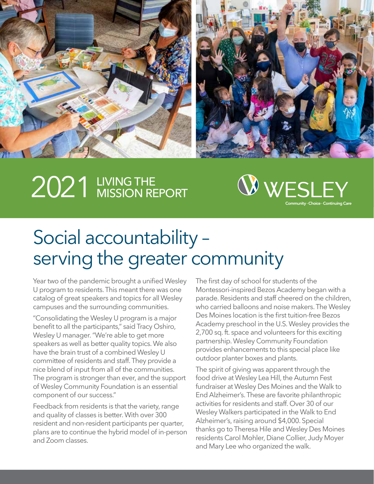

# 2021 LIVING THE MISSION REPORT



## Social accountability – serving the greater community

Year two of the pandemic brought a unified Wesley U program to residents. This meant there was one catalog of great speakers and topics for all Wesley campuses and the surrounding communities.

"Consolidating the Wesley U program is a major benefit to all the participants," said Tracy Oshiro, Wesley U manager. "We're able to get more speakers as well as better quality topics. We also have the brain trust of a combined Wesley U committee of residents and staff. They provide a nice blend of input from all of the communities. The program is stronger than ever, and the support of Wesley Community Foundation is an essential component of our success."

Feedback from residents is that the variety, range and quality of classes is better. With over 300 resident and non-resident participants per quarter, plans are to continue the hybrid model of in-person and Zoom classes.

The first day of school for students of the Montessori-inspired Bezos Academy began with a parade. Residents and staff cheered on the children, who carried balloons and noise makers. The Wesley Des Moines location is the first tuition-free Bezos Academy preschool in the U.S. Wesley provides the 2,700 sq. ft. space and volunteers for this exciting partnership. Wesley Community Foundation provides enhancements to this special place like outdoor planter boxes and plants.

The spirit of giving was apparent through the food drive at Wesley Lea Hill, the Autumn Fest fundraiser at Wesley Des Moines and the Walk to End Alzheimer's. These are favorite philanthropic activities for residents and staff. Over 30 of our Wesley Walkers participated in the Walk to End Alzheimer's, raising around \$4,000. Special thanks go to Theresa Hile and Wesley Des Moines residents Carol Mohler, Diane Collier, Judy Moyer and Mary Lee who organized the walk.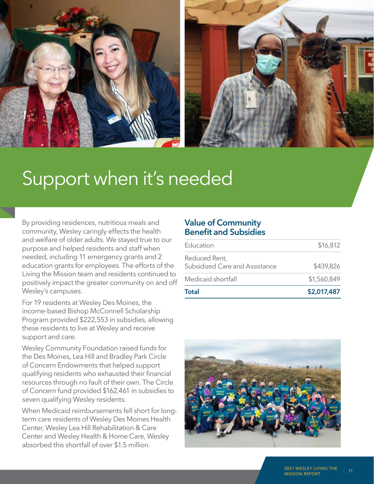

## Support when it's needed

By providing residences, nutritious meals and community, Wesley caringly effects the health and welfare of older adults. We stayed true to our purpose and helped residents and staff when needed, including 11 emergency grants and 2 education grants for employees. The efforts of the Living the Mission team and residents continued to positively impact the greater community on and off Wesley's campuses.

For 19 residents at Wesley Des Moines, the income-based Bishop McConnell Scholarship Program provided \$222,553 in subsidies, allowing these residents to live at Wesley and receive support and care.

Wesley Community Foundation raised funds for the Des Moines, Lea Hill and Bradley Park Circle of Concern Endowments that helped support qualifying residents who exhausted their financial resources through no fault of their own. The Circle of Concern fund provided \$162,461 in subsidies to seven qualifying Wesley residents.

When Medicaid reimbursements fell short for longterm care residents of Wesley Des Moines Health Center, Wesley Lea Hill Rehabilitation & Care Center and Wesley Health & Home Care, Wesley absorbed this shortfall of over \$1.5 million.

#### **Value of Community Benefit and Subsidies**

| Total                                           | \$2,017,487 |
|-------------------------------------------------|-------------|
| Medicaid shortfall                              | \$1,560,849 |
| Reduced Rent,<br>Subsidized Care and Assistance | \$439,826   |
| Education                                       | \$16,812    |